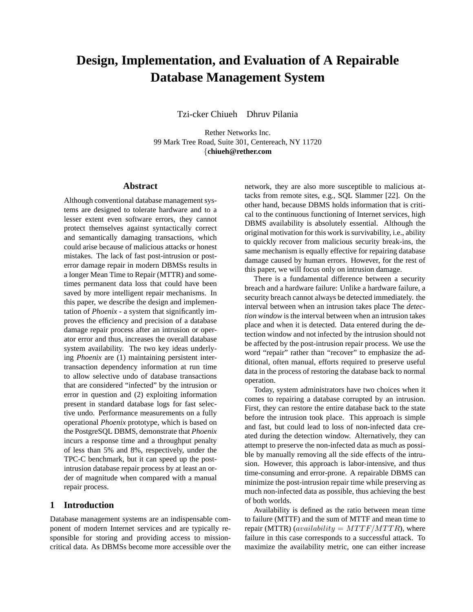# **Design, Implementation, and Evaluation of A Repairable Database Management System**

Tzi-cker Chiueh Dhruv Pilania

Rether Networks Inc. 99 Mark Tree Road, Suite 301, Centereach, NY 11720 {**chiueh@rether.com**

#### **Abstract**

Although conventional database management systems are designed to tolerate hardware and to a lesser extent even software errors, they cannot protect themselves against syntactically correct and semantically damaging transactions, which could arise because of malicious attacks or honest mistakes. The lack of fast post-intrusion or posterror damage repair in modern DBMSs results in a longer Mean Time to Repair (MTTR) and sometimes permanent data loss that could have been saved by more intelligent repair mechanisms. In this paper, we describe the design and implementation of *Phoenix* - a system that significantly improves the efficiency and precision of a database damage repair process after an intrusion or operator error and thus, increases the overall database system availability. The two key ideas underlying *Phoenix* are (1) maintaining persistent intertransaction dependency information at run time to allow selective undo of database transactions that are considered "infected" by the intrusion or error in question and (2) exploiting information present in standard database logs for fast selective undo. Performance measurements on a fully operational *Phoenix* prototype, which is based on the PostgreSQL DBMS, demonstrate that *Phoenix* incurs a response time and a throughput penalty of less than 5% and 8%, respectively, under the TPC-C benchmark, but it can speed up the postintrusion database repair process by at least an order of magnitude when compared with a manual repair process.

## **1 Introduction**

Database management systems are an indispensable component of modern Internet services and are typically responsible for storing and providing access to missioncritical data. As DBMSs become more accessible over the network, they are also more susceptible to malicious attacks from remote sites, e.g., SQL Slammer [22]. On the other hand, because DBMS holds information that is critical to the continuous functioning of Internet services, high DBMS availability is absolutely essential. Although the original motivation for this work is survivability, i.e., ability to quickly recover from malicious security break-ins, the same mechanism is equally effective for repairing database damage caused by human errors. However, for the rest of this paper, we will focus only on intrusion damage.

There is a fundamental difference between a security breach and a hardware failure: Unlike a hardware failure, a security breach cannot always be detected immediately. the interval between when an intrusion takes place The *detection window* is the interval between when an intrusion takes place and when it is detected. Data entered during the detection window and not infected by the intrusion should not be affected by the post-intrusion repair process. We use the word "repair" rather than "recover" to emphasize the additional, often manual, efforts required to preserve useful data in the process of restoring the database back to normal operation.

Today, system administrators have two choices when it comes to repairing a database corrupted by an intrusion. First, they can restore the entire database back to the state before the intrusion took place. This approach is simple and fast, but could lead to loss of non-infected data created during the detection window. Alternatively, they can attempt to preserve the non-infected data as much as possible by manually removing all the side effects of the intrusion. However, this approach is labor-intensive, and thus time-consuming and error-prone. A repairable DBMS can minimize the post-intrusion repair time while preserving as much non-infected data as possible, thus achieving the best of both worlds.

Availability is defined as the ratio between mean time to failure (MTTF) and the sum of MTTF and mean time to repair (MTTR) (*availability* =  $MTTF/MTTR$ ), where failure in this case corresponds to a successful attack. To maximize the availability metric, one can either increase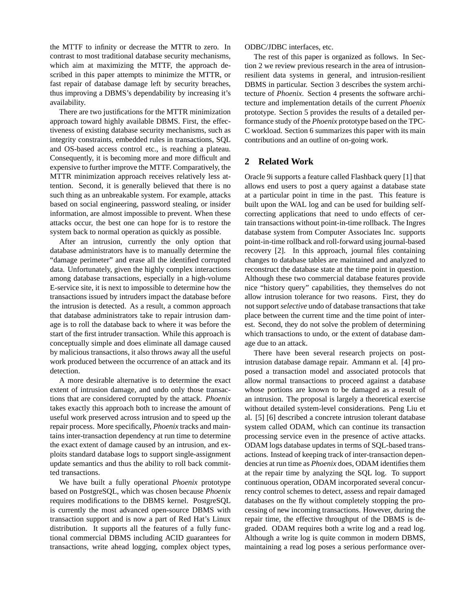the MTTF to infinity or decrease the MTTR to zero. In contrast to most traditional database security mechanisms, which aim at maximizing the MTTF, the approach described in this paper attempts to minimize the MTTR, or fast repair of database damage left by security breaches, thus improving a DBMS's dependability by increasing it's availability.

There are two justifications for the MTTR minimization approach toward highly available DBMS. First, the effectiveness of existing database security mechanisms, such as integrity constraints, embedded rules in transactions, SQL and OS-based access control etc., is reaching a plateau. Consequently, it is becoming more and more difficult and expensive to further improve the MTTF. Comparatively, the MTTR minimization approach receives relatively less attention. Second, it is generally believed that there is no such thing as an unbreakable system. For example, attacks based on social engineering, password stealing, or insider information, are almost impossible to prevent. When these attacks occur, the best one can hope for is to restore the system back to normal operation as quickly as possible.

After an intrusion, currently the only option that database administrators have is to manually determine the "damage perimeter" and erase all the identified corrupted data. Unfortunately, given the highly complex interactions among database transactions, especially in a high-volume E-service site, it is next to impossible to determine how the transactions issued by intruders impact the database before the intrusion is detected. As a result, a common approach that database administrators take to repair intrusion damage is to roll the database back to where it was before the start of the first intruder transaction. While this approach is conceptually simple and does eliminate all damage caused by malicious transactions, it also throws away all the useful work produced between the occurrence of an attack and its detection.

A more desirable alternative is to determine the exact extent of intrusion damage, and undo only those transactions that are considered corrupted by the attack. *Phoenix* takes exactly this approach both to increase the amount of useful work preserved across intrusion and to speed up the repair process. More specifically, *Phoenix* tracks and maintains inter-transaction dependency at run time to determine the exact extent of damage caused by an intrusion, and exploits standard database logs to support single-assignment update semantics and thus the ability to roll back committed transactions.

We have built a fully operational *Phoenix* prototype based on PostgreSQL, which was chosen because *Phoenix* requires modifications to the DBMS kernel. PostgreSQL is currently the most advanced open-source DBMS with transaction support and is now a part of Red Hat's Linux distribution. It supports all the features of a fully functional commercial DBMS including ACID guarantees for transactions, write ahead logging, complex object types, ODBC/JDBC interfaces, etc.

The rest of this paper is organized as follows. In Section 2 we review previous research in the area of intrusionresilient data systems in general, and intrusion-resilient DBMS in particular. Section 3 describes the system architecture of *Phoenix*. Section 4 presents the software architecture and implementation details of the current *Phoenix* prototype. Section 5 provides the results of a detailed performance study of the *Phoenix* prototype based on the TPC-C workload. Section 6 summarizes this paper with its main contributions and an outline of on-going work.

# **2 Related Work**

Oracle 9i supports a feature called Flashback query [1] that allows end users to post a query against a database state at a particular point in time in the past. This feature is built upon the WAL log and can be used for building selfcorrecting applications that need to undo effects of certain transactions without point-in-time rollback. The Ingres database system from Computer Associates Inc. supports point-in-time rollback and roll-forward using journal-based recovery [2]. In this approach, journal files containing changes to database tables are maintained and analyzed to reconstruct the database state at the time point in question. Although these two commercial database features provide nice "history query" capabilities, they themselves do not allow intrusion tolerance for two reasons. First, they do not support*selective* undo of database transactions that take place between the current time and the time point of interest. Second, they do not solve the problem of determining which transactions to undo, or the extent of database damage due to an attack.

There have been several research projects on postintrusion database damage repair. Ammann et al. [4] proposed a transaction model and associated protocols that allow normal transactions to proceed against a database whose portions are known to be damaged as a result of an intrusion. The proposal is largely a theoretical exercise without detailed system-level considerations. Peng Liu et al. [5] [6] described a concrete intrusion tolerant database system called ODAM, which can continue its transaction processing service even in the presence of active attacks. ODAM logs database updates in terms of SQL-based transactions. Instead of keeping track of inter-transaction dependencies at run time as *Phoenix* does, ODAM identifies them at the repair time by analyzing the SQL log. To support continuous operation, ODAM incorporated several concurrency control schemes to detect, assess and repair damaged databases on the fly without completely stopping the processing of new incoming transactions. However, during the repair time, the effective throughput of the DBMS is degraded. ODAM requires both a write log and a read log. Although a write log is quite common in modern DBMS, maintaining a read log poses a serious performance over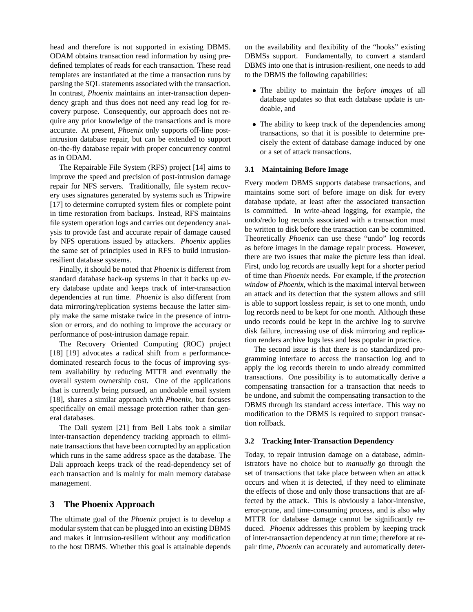head and therefore is not supported in existing DBMS. ODAM obtains transaction read information by using predefined templates of reads for each transaction. These read templates are instantiated at the time a transaction runs by parsing the SQL statements associated with the transaction. In contrast, *Phoenix* maintains an inter-transaction dependency graph and thus does not need any read log for recovery purpose. Consequently, our approach does not require any prior knowledge of the transactions and is more accurate. At present, *Phoenix* only supports off-line postintrusion database repair, but can be extended to support on-the-fly database repair with proper concurrency control as in ODAM.

The Repairable File System (RFS) project [14] aims to improve the speed and precision of post-intrusion damage repair for NFS servers. Traditionally, file system recovery uses signatures generated by systems such as Tripwire [17] to determine corrupted system files or complete point in time restoration from backups. Instead, RFS maintains file system operation logs and carries out dependency analysis to provide fast and accurate repair of damage caused by NFS operations issued by attackers. *Phoenix* applies the same set of principles used in RFS to build intrusionresilient database systems.

Finally, it should be noted that *Phoenix* is different from standard database back-up systems in that it backs up every database update and keeps track of inter-transaction dependencies at run time. *Phoenix* is also different from data mirroring/replication systems because the latter simply make the same mistake twice in the presence of intrusion or errors, and do nothing to improve the accuracy or performance of post-intrusion damage repair.

The Recovery Oriented Computing (ROC) project [18] [19] advocates a radical shift from a performancedominated research focus to the focus of improving system availability by reducing MTTR and eventually the overall system ownership cost. One of the applications that is currently being pursued, an undoable email system [18], shares a similar approach with *Phoenix*, but focuses specifically on email message protection rather than general databases.

The Dali system [21] from Bell Labs took a similar inter-transaction dependency tracking approach to eliminate transactions that have been corrupted by an application which runs in the same address space as the database. The Dali approach keeps track of the read-dependency set of each transaction and is mainly for main memory database management.

# **3 The Phoenix Approach**

The ultimate goal of the *Phoenix* project is to develop a modular system that can be plugged into an existing DBMS and makes it intrusion-resilient without any modification to the host DBMS. Whether this goal is attainable depends on the availability and flexibility of the "hooks" existing DBMSs support. Fundamentally, to convert a standard DBMS into one that is intrusion-resilient, one needs to add to the DBMS the following capabilities:

- The ability to maintain the *before images* of all database updates so that each database update is undoable, and
- The ability to keep track of the dependencies among transactions, so that it is possible to determine precisely the extent of database damage induced by one or a set of attack transactions.

## **3.1 Maintaining Before Image**

Every modern DBMS supports database transactions, and maintains some sort of before image on disk for every database update, at least after the associated transaction is committed. In write-ahead logging, for example, the undo/redo log records associated with a transaction must be written to disk before the transaction can be committed. Theoretically *Phoenix* can use these "undo" log records as before images in the damage repair process. However, there are two issues that make the picture less than ideal. First, undo log records are usually kept for a shorter period of time than *Phoenix* needs. For example, if the *protection window* of *Phoenix*, which is the maximal interval between an attack and its detection that the system allows and still is able to support lossless repair, is set to one month, undo log records need to be kept for one month. Although these undo records could be kept in the archive log to survive disk failure, increasing use of disk mirroring and replication renders archive logs less and less popular in practice.

The second issue is that there is no standardized programming interface to access the transaction log and to apply the log records therein to undo already committed transactions. One possibility is to automatically derive a compensating transaction for a transaction that needs to be undone, and submit the compensating transaction to the DBMS through its standard access interface. This way no modification to the DBMS is required to support transaction rollback.

#### **3.2 Tracking Inter-Transaction Dependency**

Today, to repair intrusion damage on a database, administrators have no choice but to *manually* go through the set of transactions that take place between when an attack occurs and when it is detected, if they need to eliminate the effects of those and only those transactions that are affected by the attack. This is obviously a labor-intensive, error-prone, and time-consuming process, and is also why MTTR for database damage cannot be significantly reduced. *Phoenix* addresses this problem by keeping track of inter-transaction dependency at run time; therefore at repair time, *Phoenix* can accurately and automatically deter-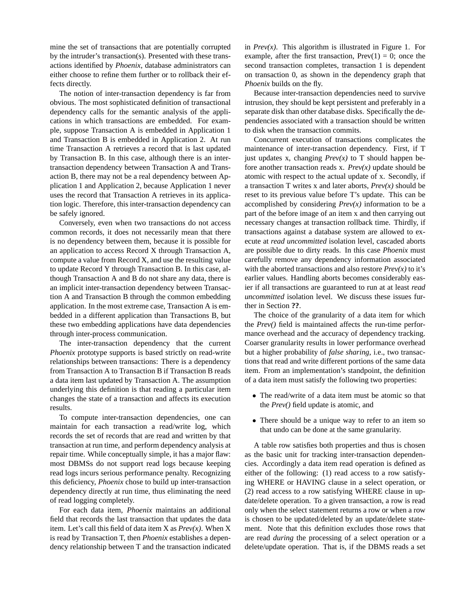mine the set of transactions that are potentially corrupted by the intruder's transaction(s). Presented with these transactions identified by *Phoenix*, database administrators can either choose to refine them further or to rollback their effects directly.

The notion of inter-transaction dependency is far from obvious. The most sophisticated definition of transactional dependency calls for the semantic analysis of the applications in which transactions are embedded. For example, suppose Transaction A is embedded in Application 1 and Transaction B is embedded in Application 2. At run time Transaction A retrieves a record that is last updated by Transaction B. In this case, although there is an intertransaction dependency between Transaction A and Transaction B, there may not be a real dependency between Application 1 and Application 2, because Application 1 never uses the record that Transaction A retrieves in its application logic. Therefore, this inter-transaction dependency can be safely ignored.

Conversely, even when two transactions do not access common records, it does not necessarily mean that there is no dependency between them, because it is possible for an application to access Record X through Transaction A, compute a value from Record X, and use the resulting value to update Record Y through Transaction B. In this case, although Transaction A and B do not share any data, there is an implicit inter-transaction dependency between Transaction A and Transaction B through the common embedding application. In the most extreme case, Transaction A is embedded in a different application than Transactions B, but these two embedding applications have data dependencies through inter-process communication.

The inter-transaction dependency that the current *Phoenix* prototype supports is based strictly on read-write relationships between transactions: There is a dependency from Transaction A to Transaction B if Transaction B reads a data item last updated by Transaction A. The assumption underlying this definition is that reading a particular item changes the state of a transaction and affects its execution results.

To compute inter-transaction dependencies, one can maintain for each transaction a read/write log, which records the set of records that are read and written by that transaction at run time, and perform dependency analysis at repair time. While conceptually simple, it has a major flaw: most DBMSs do not support read logs because keeping read logs incurs serious performance penalty. Recognizing this deficiency, *Phoenix* chose to build up inter-transaction dependency directly at run time, thus eliminating the need of read logging completely.

For each data item, *Phoenix* maintains an additional field that records the last transaction that updates the data item. Let's call this field of data item X as *Prev(x)*. When X is read by Transaction T, then *Phoenix* establishes a dependency relationship between T and the transaction indicated in  $Prev(x)$ . This algorithm is illustrated in Figure 1. For example, after the first transaction,  $Prev(1) = 0$ ; once the second transaction completes, transaction 1 is dependent on transaction 0, as shown in the dependency graph that *Phoenix* builds on the fly.

Because inter-transaction dependencies need to survive intrusion, they should be kept persistent and preferably in a separate disk than other database disks. Specifically the dependencies associated with a transaction should be written to disk when the transaction commits.

Concurrent execution of transactions complicates the maintenance of inter-transaction dependency. First, if T just updates x, changing  $Prev(x)$  to T should happen before another transaction reads x.  $Prev(x)$  update should be atomic with respect to the actual update of x. Secondly, if a transaction T writes x and later aborts, *Prev(x)* should be reset to its previous value before T's update. This can be accomplished by considering  $Prev(x)$  information to be a part of the before image of an item x and then carrying out necessary changes at transaction rollback time. Thirdly, if transactions against a database system are allowed to execute at *read uncommitted* isolation level, cascaded aborts are possible due to dirty reads. In this case *Phoenix* must carefully remove any dependency information associated with the aborted transactions and also restore  $Prev(x)$  to it's earlier values. Handling aborts becomes considerably easier if all transactions are guaranteed to run at at least *read uncommitted* isolation level. We discuss these issues further in Section **??**.

The choice of the granularity of a data item for which the *Prev()* field is maintained affects the run-time performance overhead and the accuracy of dependency tracking. Coarser granularity results in lower performance overhead but a higher probability of *false sharing*, i.e., two transactions that read and write different portions of the same data item. From an implementation's standpoint, the definition of a data item must satisfy the following two properties:

- The read/write of a data item must be atomic so that the *Prev()* field update is atomic, and
- There should be a unique way to refer to an item so that undo can be done at the same granularity.

A table row satisfies both properties and thus is chosen as the basic unit for tracking inter-transaction dependencies. Accordingly a data item read operation is defined as either of the following: (1) read access to a row satisfying WHERE or HAVING clause in a select operation, or (2) read access to a row satisfying WHERE clause in update/delete operation. To a given transaction, a row is read only when the select statement returns a row or when a row is chosen to be updated/deleted by an update/delete statement. Note that this definition excludes those rows that are read *during* the processing of a select operation or a delete/update operation. That is, if the DBMS reads a set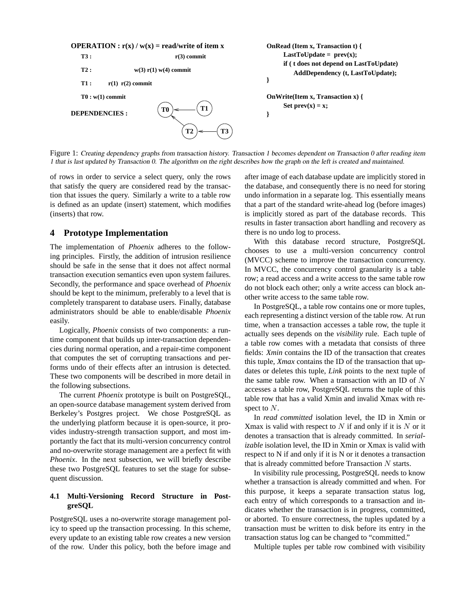

Figure 1: Creating dependency graphs from transaction history. Transaction 1 becomes dependent on Transaction 0 after reading item 1 that is last updated by Transaction 0. The algorithm on the right describes how the graph on the left is created and maintained.

of rows in order to service a select query, only the rows that satisfy the query are considered read by the transaction that issues the query. Similarly a write to a table row is defined as an update (insert) statement, which modifies (inserts) that row.

## **4 Prototype Implementation**

The implementation of *Phoenix* adheres to the following principles. Firstly, the addition of intrusion resilience should be safe in the sense that it does not affect normal transaction execution semantics even upon system failures. Secondly, the performance and space overhead of *Phoenix* should be kept to the minimum, preferably to a level that is completely transparent to database users. Finally, database administrators should be able to enable/disable *Phoenix* easily.

Logically, *Phoenix* consists of two components: a runtime component that builds up inter-transaction dependencies during normal operation, and a repair-time component that computes the set of corrupting transactions and performs undo of their effects after an intrusion is detected. These two components will be described in more detail in the following subsections.

The current *Phoenix* prototype is built on PostgreSQL, an open-source database management system derived from Berkeley's Postgres project. We chose PostgreSQL as the underlying platform because it is open-source, it provides industry-strength transaction support, and most importantly the fact that its multi-version concurrency control and no-overwrite storage management are a perfect fit with *Phoenix*. In the next subsection, we will briefly describe these two PostgreSQL features to set the stage for subsequent discussion.

## **4.1 Multi-Versioning Record Structure in PostgreSQL**

PostgreSQL uses a no-overwrite storage management policy to speed up the transaction processing. In this scheme, every update to an existing table row creates a new version of the row. Under this policy, both the before image and after image of each database update are implicitly stored in the database, and consequently there is no need for storing undo information in a separate log. This essentially means that a part of the standard write-ahead log (before images) is implicitly stored as part of the database records. This results in faster transaction abort handling and recovery as there is no undo log to process.

With this database record structure, PostgreSQL chooses to use a multi-version concurrency control (MVCC) scheme to improve the transaction concurrency. In MVCC, the concurrency control granularity is a table row; a read access and a write access to the same table row do not block each other; only a write access can block another write access to the same table row.

In PostgreSQL, a table row contains one or more tuples, each representing a distinct version of the table row. At run time, when a transaction accesses a table row, the tuple it actually sees depends on the *visibility* rule. Each tuple of a table row comes with a metadata that consists of three fields: *Xmin* contains the ID of the transaction that creates this tuple, *Xmax* contains the ID of the transaction that updates or deletes this tuple, *Link* points to the next tuple of the same table row. When a transaction with an ID of  $N$ accesses a table row, PostgreSQL returns the tuple of this table row that has a valid Xmin and invalid Xmax with respect to N.

In *read committed* isolation level, the ID in Xmin or Xmax is valid with respect to  $N$  if and only if it is  $N$  or it denotes a transaction that is already committed. In *serializable* isolation level, the ID in Xmin or Xmax is valid with respect to N if and only if it is N or it denotes a transaction that is already committed before Transaction  $N$  starts.

In visibility rule processing, PostgreSQL needs to know whether a transaction is already committed and when. For this purpose, it keeps a separate transaction status log, each entry of which corresponds to a transaction and indicates whether the transaction is in progress, committed, or aborted. To ensure correctness, the tuples updated by a transaction must be written to disk before its entry in the transaction status log can be changed to "committed."

Multiple tuples per table row combined with visibility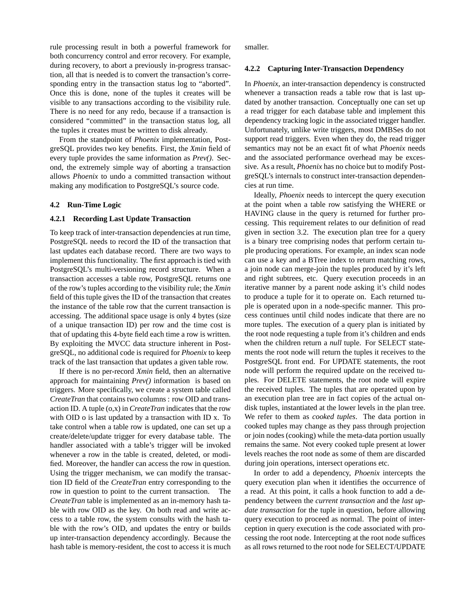rule processing result in both a powerful framework for both concurrency control and error recovery. For example, during recovery, to abort a previously in-progress transaction, all that is needed is to convert the transaction's corresponding entry in the transaction status log to "aborted". Once this is done, none of the tuples it creates will be visible to any transactions according to the visibility rule. There is no need for any redo, because if a transaction is considered "committed" in the transaction status log, all the tuples it creates must be written to disk already.

From the standpoint of *Phoenix* implementation, PostgreSQL provides two key benefits. First, the *Xmin* field of every tuple provides the same information as *Prev()*. Second, the extremely simple way of aborting a transaction allows *Phoenix* to undo a committed transaction without making any modification to PostgreSQL's source code.

#### **4.2 Run-Time Logic**

#### **4.2.1 Recording Last Update Transaction**

To keep track of inter-transaction dependencies at run time, PostgreSQL needs to record the ID of the transaction that last updates each database record. There are two ways to implement this functionality. The first approach is tied with PostgreSQL's multi-versioning record structure. When a transaction accesses a table row, PostgreSQL returns one of the row's tuples according to the visibility rule; the *Xmin* field of this tuple gives the ID of the transaction that creates the instance of the table row that the current transaction is accessing. The additional space usage is only 4 bytes (size of a unique transaction ID) per row and the time cost is that of updating this 4-byte field each time a row is written. By exploiting the MVCC data structure inherent in PostgreSQL, no additional code is required for *Phoenix* to keep track of the last transaction that updates a given table row.

If there is no per-record *Xmin* field, then an alternative approach for maintaining *Prev()* information is based on triggers. More specifically, we create a system table called *CreateTran* that contains two columns : row OID and transaction ID. A tuple (o,x) in *CreateTran* indicates that the row with OID o is last updated by a transaction with ID x. To take control when a table row is updated, one can set up a create/delete/update trigger for every database table. The handler associated with a table's trigger will be invoked whenever a row in the table is created, deleted, or modified. Moreover, the handler can access the row in question. Using the trigger mechanism, we can modify the transaction ID field of the *CreateTran* entry corresponding to the row in question to point to the current transaction. The *CreateTran* table is implemented as an in-memory hash table with row OID as the key. On both read and write access to a table row, the system consults with the hash table with the row's OID, and updates the entry or builds up inter-transaction dependency accordingly. Because the hash table is memory-resident, the cost to access it is much

smaller.

#### **4.2.2 Capturing Inter-Transaction Dependency**

In *Phoenix*, an inter-transaction dependency is constructed whenever a transaction reads a table row that is last updated by another transaction. Conceptually one can set up a read trigger for each database table and implement this dependency tracking logic in the associated trigger handler. Unfortunately, unlike write triggers, most DMBSes do not support read triggers. Even when they do, the read trigger semantics may not be an exact fit of what *Phoenix* needs and the associated performance overhead may be excessive. As a result, *Phoenix* has no choice but to modify PostgreSQL's internals to construct inter-transaction dependencies at run time.

Ideally, *Phoenix* needs to intercept the query execution at the point when a table row satisfying the WHERE or HAVING clause in the query is returned for further processing. This requirement relates to our definition of read given in section 3.2. The execution plan tree for a query is a binary tree comprising nodes that perform certain tuple producing operations. For example, an index scan node can use a key and a BTree index to return matching rows, a join node can merge-join the tuples produced by it's left and right subtrees, etc. Query execution proceeds in an iterative manner by a parent node asking it's child nodes to produce a tuple for it to operate on. Each returned tuple is operated upon in a node-specific manner. This process continues until child nodes indicate that there are no more tuples. The execution of a query plan is initiated by the root node requesting a tuple from it's children and ends when the children return a *null* tuple. For SELECT statements the root node will return the tuples it receives to the PostgreSQL front end. For UPDATE statements, the root node will perform the required update on the received tuples. For DELETE statements, the root node will expire the received tuples. The tuples that are operated upon by an execution plan tree are in fact copies of the actual ondisk tuples, instantiated at the lower levels in the plan tree. We refer to them as *cooked tuples*. The data portion in cooked tuples may change as they pass through projection or join nodes (cooking) while the meta-data portion usually remains the same. Not every cooked tuple present at lower levels reaches the root node as some of them are discarded during join operations, intersect operations etc.

In order to add a dependency, *Phoenix* intercepts the query execution plan when it identifies the occurrence of a read. At this point, it calls a hook function to add a dependency between the *current transaction* and the *last update transaction* for the tuple in question, before allowing query execution to proceed as normal. The point of interception in query execution is the code associated with processing the root node. Intercepting at the root node suffices as all rows returned to the root node for SELECT/UPDATE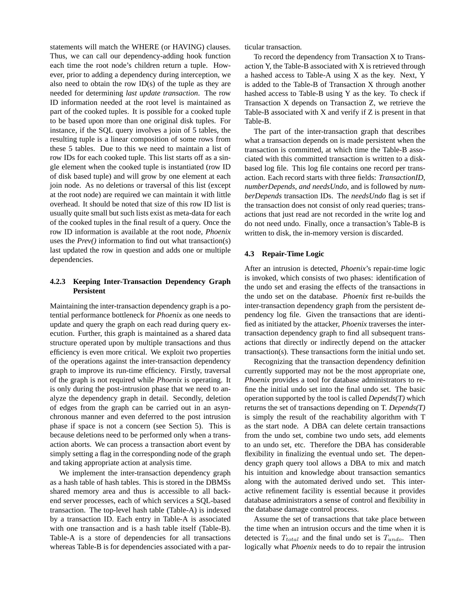statements will match the WHERE (or HAVING) clauses. Thus, we can call our dependency-adding hook function each time the root node's children return a tuple. However, prior to adding a dependency during interception, we also need to obtain the row ID(s) of the tuple as they are needed for determining *last update transaction*. The row ID information needed at the root level is maintained as part of the cooked tuples. It is possible for a cooked tuple to be based upon more than one original disk tuples. For instance, if the SQL query involves a join of 5 tables, the resulting tuple is a linear composition of some rows from these 5 tables. Due to this we need to maintain a list of row IDs for each cooked tuple. This list starts off as a single element when the cooked tuple is instantiated (row ID of disk based tuple) and will grow by one element at each join node. As no deletions or traversal of this list (except at the root node) are required we can maintain it with little overhead. It should be noted that size of this row ID list is usually quite small but such lists exist as meta-data for each of the cooked tuples in the final result of a query. Once the row ID information is available at the root node, *Phoenix* uses the *Prev()* information to find out what transaction(s) last updated the row in question and adds one or multiple dependencies.

## **4.2.3 Keeping Inter-Transaction Dependency Graph Persistent**

Maintaining the inter-transaction dependency graph is a potential performance bottleneck for *Phoenix* as one needs to update and query the graph on each read during query execution. Further, this graph is maintained as a shared data structure operated upon by multiple transactions and thus efficiency is even more critical. We exploit two properties of the operations against the inter-transaction dependency graph to improve its run-time efficiency. Firstly, traversal of the graph is not required while *Phoenix* is operating. It is only during the post-intrusion phase that we need to analyze the dependency graph in detail. Secondly, deletion of edges from the graph can be carried out in an asynchronous manner and even deferred to the post intrusion phase if space is not a concern (see Section 5). This is because deletions need to be performed only when a transaction aborts. We can process a transaction abort event by simply setting a flag in the corresponding node of the graph and taking appropriate action at analysis time.

We implement the inter-transaction dependency graph as a hash table of hash tables. This is stored in the DBMSs shared memory area and thus is accessible to all backend server processes, each of which services a SQL-based transaction. The top-level hash table (Table-A) is indexed by a transaction ID. Each entry in Table-A is associated with one transaction and is a hash table itself (Table-B). Table-A is a store of dependencies for all transactions whereas Table-B is for dependencies associated with a particular transaction.

To record the dependency from Transaction X to Transaction Y, the Table-B associated with X is retrieved through a hashed access to Table-A using X as the key. Next, Y is added to the Table-B of Transaction X through another hashed access to Table-B using Y as the key. To check if Transaction X depends on Transaction Z, we retrieve the Table-B associated with  $X$  and verify if  $Z$  is present in that Table-B.

The part of the inter-transaction graph that describes what a transaction depends on is made persistent when the transaction is committed, at which time the Table-B associated with this committed transaction is written to a diskbased log file. This log file contains one record per transaction. Each record starts with three fields: *TransactionID, numberDepends, and needsUndo*, and is followed by *numberDepends* transaction IDs. The *needsUndo* flag is set if the transaction does not consist of only read queries; transactions that just read are not recorded in the write log and do not need undo. Finally, once a transaction's Table-B is written to disk, the in-memory version is discarded.

#### **4.3 Repair-Time Logic**

After an intrusion is detected, *Phoenix*'s repair-time logic is invoked, which consists of two phases: identification of the undo set and erasing the effects of the transactions in the undo set on the database. *Phoenix* first re-builds the inter-transaction dependency graph from the persistent dependency log file. Given the transactions that are identified as initiated by the attacker, *Phoenix* traverses the intertransaction dependency graph to find all subsequent transactions that directly or indirectly depend on the attacker transaction(s). These transactions form the initial undo set.

Recognizing that the transaction dependency definition currently supported may not be the most appropriate one, *Phoenix* provides a tool for database administrators to refine the initial undo set into the final undo set. The basic operation supported by the tool is called *Depends(T)* which returns the set of transactions depending on T. *Depends(T)* is simply the result of the reachability algorithm with T as the start node. A DBA can delete certain transactions from the undo set, combine two undo sets, add elements to an undo set, etc. Therefore the DBA has considerable flexibility in finalizing the eventual undo set. The dependency graph query tool allows a DBA to mix and match his intuition and knowledge about transaction semantics along with the automated derived undo set. This interactive refinement facility is essential because it provides database administrators a sense of control and flexibility in the database damage control process.

Assume the set of transactions that take place between the time when an intrusion occurs and the time when it is detected is  $T_{total}$  and the final undo set is  $T_{undo}$ . Then logically what *Phoenix* needs to do to repair the intrusion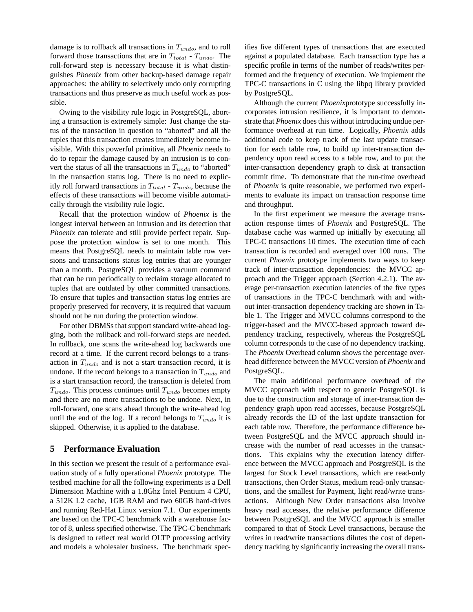damage is to rollback all transactions in  $T_{undo}$ , and to roll forward those transactions that are in  $T_{total}$  -  $T_{undo}$ . The roll-forward step is necessary because it is what distinguishes *Phoenix* from other backup-based damage repair approaches: the ability to selectively undo only corrupting transactions and thus preserve as much useful work as possible.

Owing to the visibility rule logic in PostgreSQL, aborting a transaction is extremely simple: Just change the status of the transaction in question to "aborted" and all the tuples that this transaction creates immediately become invisible. With this powerful primitive, all *Phoenix* needs to do to repair the damage caused by an intrusion is to convert the status of all the transactions in  $T_{undo}$  to "aborted" in the transaction status log. There is no need to explicitly roll forward transactions in  $T_{total}$  -  $T_{undo}$ , because the effects of these transactions will become visible automatically through the visibility rule logic.

Recall that the protection window of *Phoenix* is the longest interval between an intrusion and its detection that *Phoenix* can tolerate and still provide perfect repair. Suppose the protection window is set to one month. This means that PostgreSQL needs to maintain table row versions and transactions status log entries that are younger than a month. PostgreSQL provides a vacuum command that can be run periodically to reclaim storage allocated to tuples that are outdated by other committed transactions. To ensure that tuples and transaction status log entries are properly preserved for recovery, it is required that vacuum should not be run during the protection window.

For other DBMSs that support standard write-ahead logging, both the rollback and roll-forward steps are needed. In rollback, one scans the write-ahead log backwards one record at a time. If the current record belongs to a transaction in  $T_{undo}$  and is not a start transaction record, it is undone. If the record belongs to a transaction in  $T_{undo}$  and is a start transaction record, the transaction is deleted from  $T_{undo}$ . This process continues until  $T_{undo}$  becomes empty and there are no more transactions to be undone. Next, in roll-forward, one scans ahead through the write-ahead log until the end of the log. If a record belongs to  $T_{undo}$  it is skipped. Otherwise, it is applied to the database.

## **5 Performance Evaluation**

In this section we present the result of a performance evaluation study of a fully operational *Phoenix* prototype. The testbed machine for all the following experiments is a Dell Dimension Machine with a 1.8Ghz Intel Pentium 4 CPU, a 512K L2 cache, 1GB RAM and two 60GB hard-drives and running Red-Hat Linux version 7.1. Our experiments are based on the TPC-C benchmark with a warehouse factor of 8, unless specified otherwise. The TPC-C benchmark is designed to reflect real world OLTP processing activity and models a wholesaler business. The benchmark specifies five different types of transactions that are executed against a populated database. Each transaction type has a specific profile in terms of the number of reads/writes performed and the frequency of execution. We implement the TPC-C transactions in C using the libpq library provided by PostgreSQL.

Although the current *Phoenix*prototype successfully incorporates intrusion resilience, it is important to demonstrate that *Phoenix* does this without introducing undue performance overhead at run time. Logically, *Phoenix* adds additional code to keep track of the last update transaction for each table row, to build up inter-transaction dependency upon read access to a table row, and to put the inter-transaction dependency graph to disk at transaction commit time. To demonstrate that the run-time overhead of *Phoenix* is quite reasonable, we performed two experiments to evaluate its impact on transaction response time and throughput.

In the first experiment we measure the average transaction response times of *Phoenix* and PostgreSQL. The database cache was warmed up initially by executing all TPC-C transactions 10 times. The execution time of each transaction is recorded and averaged over 100 runs. The current *Phoenix* prototype implements two ways to keep track of inter-transaction dependencies: the MVCC approach and the Trigger approach (Section 4.2.1). The average per-transaction execution latencies of the five types of transactions in the TPC-C benchmark with and without inter-transaction dependency tracking are shown in Table 1. The Trigger and MVCC columns correspond to the trigger-based and the MVCC-based approach toward dependency tracking, respectively, whereas the PostgreSQL column corresponds to the case of no dependency tracking. The *Phoenix* Overhead column shows the percentage overhead difference between the MVCC version of *Phoenix* and PostgreSQL.

The main additional performance overhead of the MVCC approach with respect to generic PostgreSQL is due to the construction and storage of inter-transaction dependency graph upon read accesses, because PostgreSQL already records the ID of the last update transaction for each table row. Therefore, the performance difference between PostgreSQL and the MVCC approach should increase with the number of read accesses in the transactions. This explains why the execution latency difference between the MVCC approach and PostgreSQL is the largest for Stock Level transactions, which are read-only transactions, then Order Status, medium read-only transactions, and the smallest for Payment, light read/write transactions. Although New Order transactions also involve heavy read accesses, the relative performance difference between PostgreSQL and the MVCC approach is smaller compared to that of Stock Level transactions, because the writes in read/write transactions dilutes the cost of dependency tracking by significantly increasing the overall trans-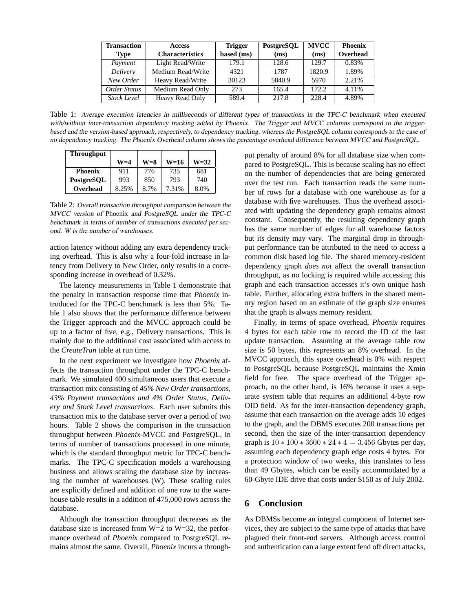| <b>Transaction</b> | <b>Access</b>          | <b>Trigger</b> | PostgreSQL | <b>MVCC</b> | <b>Phoenix</b> |
|--------------------|------------------------|----------------|------------|-------------|----------------|
| <b>Type</b>        | <b>Characteristics</b> | based (ms)     | (ms)       | (ms)        | Overhead       |
| Payment            | Light Read/Write       | 179.1          | 128.6      | 129.7       | 0.83%          |
| Delivery           | Medium Read/Write      | 4321           | 1787       | 1820.9      | 1.89%          |
| New Order          | Heavy Read/Write       | 30123          | 5840.9     | 5970        | 2.21%          |
| Order Status       | Medium Read Only       | 273            | 165.4      | 172.2.      | 4.11%          |
| <b>Stock Level</b> | Heavy Read Only        | 589.4          | 217.8      | 228.4       | 4.89%          |

Table 1: Average execution latencies in milliseconds of different types of transactions in the TPC-C benchmark when executed with/without inter-transaction dependency tracking added by Phoenix. The Trigger and MVCC columns correspond to the triggerbased and the version-based approach, respectively, to dependency tracking, whereas the PostgreSQL column corresponds to the case of no dependency tracking. The Phoenix Overhead column shows the percentage overhead difference between MVCC and PostgreSQL.

| <b>Throughput</b> |       |       |        |        |
|-------------------|-------|-------|--------|--------|
|                   | $W=4$ | $W=8$ | $W=16$ | $W=32$ |
| <b>Phoenix</b>    | 911   | 776   | 735    | 681    |
| PostgreSQL        | 993   | 850   | 793    | 740    |
| Overhead          | 8.25% | 8.7%  | 7.31%  | 8.0%   |

Table 2: Overall transaction throughput comparison between the MVCC version of Phoenix and PostgreSQL under the TPC-C benchmark in terms of number of transactions executed per second. W is the number of warehouses.

action latency without adding any extra dependency tracking overhead. This is also why a four-fold increase in latency from Delivery to New Order, only results in a corresponding increase in overhead of 0.32%.

The latency measurements in Table 1 demonstrate that the penalty in transaction response time that *Phoenix* introduced for the TPC-C benchmark is less than 5%. Table 1 also shows that the performance difference between the Trigger approach and the MVCC approach could be up to a factor of five, e.g., Delivery transactions. This is mainly due to the additional cost associated with access to the *CreateTran* table at run time.

In the next experiment we investigate how *Phoenix* affects the transaction throughput under the TPC-C benchmark. We simulated 400 simultaneous users that execute a transaction mix consisting of *45% New Order transactions, 43% Payment transactions and 4% Order Status, Delivery and Stock Level transactions*. Each user submits this transaction mix to the database server over a period of two hours. Table 2 shows the comparison in the transaction throughput between *Phoenix*-MVCC and PostgreSQL, in terms of number of transactions processed in one minute, which is the standard throughput metric for TPC-C benchmarks. The TPC-C specification models a warehousing business and allows scaling the database size by increasing the number of warehouses (W). These scaling rules are explicitly defined and addition of one row to the warehouse table results in a addition of 475,000 rows across the database.

Although the transaction throughput decreases as the database size is increased from  $W=2$  to  $W=32$ , the performance overhead of *Phoenix* compared to PostgreSQL remains almost the same. Overall, *Phoenix* incurs a throughput penalty of around 8% for all database size when compared to PostgreSQL. This is because scaling has no effect on the number of dependencies that are being generated over the test run. Each transaction reads the same number of rows for a database with one warehouse as for a database with five warehouses. Thus the overhead associated with updating the dependency graph remains almost constant. Consequently, the resulting dependency graph has the same number of edges for all warehouse factors but its density may vary. The marginal drop in throughput performance can be attributed to the need to access a common disk based log file. The shared memory-resident dependency graph *does not* affect the overall transaction throughput, as no locking is required while accessing this graph and each transaction accesses it's own unique hash table. Further, allocating extra buffers in the shared memory region based on an estimate of the graph size ensures that the graph is always memory resident.

Finally, in terms of space overhead, *Phoenix* requires 4 bytes for each table row to record the ID of the last update transaction. Assuming at the average table row size is 50 bytes, this represents an 8% overhead. In the MVCC approach, this space overhead is 0% with respect to PostgreSQL because PostgreSQL maintains the Xmin field for free. The space overhead of the Trigger approach, on the other hand, is 16% because it uses a separate system table that requires an additional 4-byte row OID field. As for the inter-transaction dependency graph, assume that each transaction on the average adds 10 edges to the graph, and the DBMS executes 200 transactions per second, then the size of the inter-transaction dependency graph is  $10 * 100 * 3600 * 24 * 4 = 3.456$  Gbytes per day, assuming each dependency graph edge costs 4 bytes. For a protection window of two weeks, this translates to less than 49 Gbytes, which can be easily accommodated by a 60-Gbyte IDE drive that costs under \$150 as of July 2002.

# **6 Conclusion**

As DBMSs become an integral component of Internet services, they are subject to the same type of attacks that have plagued their front-end servers. Although access control and authentication can a large extent fend off direct attacks,